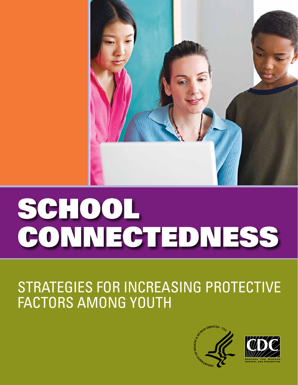

# SCHOOL CONNECTEDNESS

# STRATEGIES FOR INCREASING PROTECTIVE FACTORS AMONG YOUTH



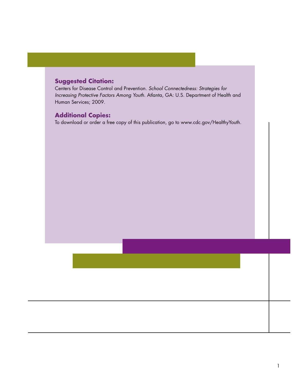# **Suggested Citation:**

Centers for Disease Control and Prevention. *School Connectedness: Strategies for Increasing Protective Factors Among Youth.* Atlanta, GA: U.S. Department of Health and Human Services; 2009.

#### **Additional Copies:**

To download or order a free copy of this publication, go to www.cdc.gov/HealthyYouth.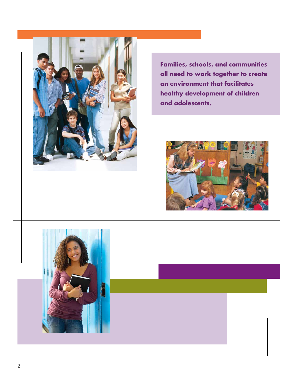

**Families, schools, and communities all need to work together to create an environment that facilitates healthy development of children and adolescents.** 



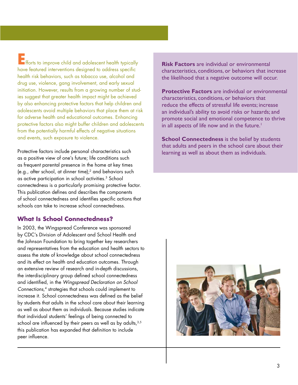**EFF**<br>Efforts to improve child and adolescent health typically have featured interventions designed to address specific health risk behaviors, such as tobacco use, alcohol and drug use, violence, gang involvement, and early sexual initiation. However, results from a growing number of studies suggest that greater health impact might be achieved by also enhancing protective factors that help children and adolescents avoid multiple behaviors that place them at risk for adverse health and educational outcomes. Enhancing protective factors also might buffer children and adolescents from the potentially harmful effects of negative situations and events, such exposure to violence.

Protective factors include personal characteristics such as a positive view of one's future; life conditions such as frequent parental presence in the home at key times (e.g., after school, at dinner time);2 and behaviors such as active participation in school activities.<sup>3</sup> School connectedness is a particularly promising protective factor. This publication defines and describes the components of school connectedness and identifies specific actions that schools can take to increase school connectedness.

### **What Is School Connectedness?**

In 2003, the Wingspread Conference was sponsored by CDC's Division of Adolescent and School Health and the Johnson Foundation to bring together key researchers and representatives from the education and health sectors to assess the state of knowledge about school connectedness and its effect on health and education outcomes. Through an extensive review of research and in-depth discussions, the interdisciplinary group defined school connectedness and identified, in the *Wingspread Declaration on School Connections*, 4 strategies that schools could implement to increase it. School connectedness was defined as the belief by students that adults in the school care about their learning as well as about them as individuals. Because studies indicate that individual students' feelings of being connected to school are influenced by their peers as well as by adults,  $3,5$ this publication has expanded that definition to include peer influence.

**Risk Factors** are individual or environmental characteristics, conditions, or behaviors that increase the likelihood that a negative outcome will occur.

**Protective Factors** are individual or environmental characteristics, conditions, or behaviors that reduce the effects of stressful life events; increase an individual's ability to avoid risks or hazards; and promote social and emotional competence to thrive in all aspects of life now and in the future.<sup>1</sup>

**School Connectedness** is the belief by students that adults and peers in the school care about their learning as well as about them as individuals.

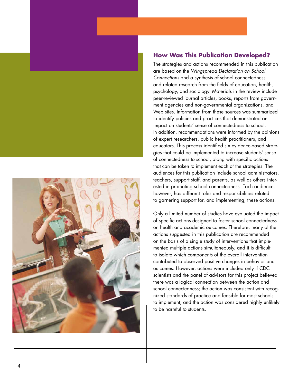



# **How Was This Publication Developed?**

The strategies and actions recommended in this publication are based on the *Wingspread Declaration on School Connections* and a synthesis of school connectedness and related research from the fields of education, health, psychology, and sociology. Materials in the review include peer-reviewed journal articles, books, reports from government agencies and non-governmental organizations, and Web sites. Information from these sources was summarized to identify policies and practices that demonstrated an impact on students' sense of connectedness to school. In addition, recommendations were informed by the opinions of expert researchers, public health practitioners, and educators. This process identified six evidence-based strategies that could be implemented to increase students' sense of connectedness to school, along with specific actions that can be taken to implement each of the strategies. The audiences for this publication include school administrators, teachers, support staff, and parents, as well as others interested in promoting school connectedness. Each audience, however, has different roles and responsibilities related to garnering support for, and implementing, these actions.

Only a limited number of studies have evaluated the impact of specific actions designed to foster school connectedness on health and academic outcomes. Therefore, many of the actions suggested in this publication are recommended on the basis of a single study of interventions that implemented multiple actions simultaneously, and it is difficult to isolate which components of the overall intervention contributed to observed positive changes in behavior and outcomes. However, actions were included only if CDC scientists and the panel of advisors for this project believed there was a logical connection between the action and school connectedness; the action was consistent with recognized standards of practice and feasible for most schools to implement; and the action was considered highly unlikely to be harmful to students.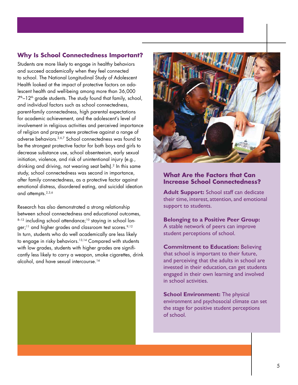# **Why Is School Connectedness Important?**

Students are more likely to engage in healthy behaviors and succeed academically when they feel connected to school. The National Longitudinal Study of Adolescent Health looked at the impact of protective factors on adolescent health and well-being among more than 36,000  $7<sup>th</sup> - 12<sup>th</sup>$  grade students. The study found that family, school, and individual factors such as school connectedness, parent-family connectedness, high parental expectations for academic achievement, and the adolescent's level of involvement in religious activities and perceived importance of religion and prayer were protective against a range of adverse behaviors.2,6,7 School connectedness was found to be the strongest protective factor for both boys and girls to decrease substance use, school absenteeism, early sexual initiation, violence, and risk of unintentional injury (e.g., drinking and driving, not wearing seat belts).<sup>2</sup> In this same study, school connectedness was second in importance, after family connectedness, as a protective factor against emotional distress, disordered eating, and suicidal ideation and attempts.<sup>2,3,6</sup>

Research has also demonstrated a strong relationship between school connectedness and educational outcomes, 8-12 including school attendance;<sup>10</sup> staying in school longer;<sup>11</sup> and higher grades and classroom test scores.<sup>9,12</sup> In turn, students who do well academically are less likely to engage in risky behaviors.<sup>13,14</sup> Compared with students with low grades, students with higher grades are significantly less likely to carry a weapon, smoke cigarettes, drink alcohol, and have sexual intercourse.14





#### **What Are the Factors that Can Increase School Connectedness?**

 their time, interest, attention, and emotional **Adult Support:** School staff can dedicate support to students.

**Belonging to a Positive Peer Group:**  A stable network of peers can improve student perceptions of school.

**Commitment to Education: Believing** that school is important to their future, and perceiving that the adults in school are invested in their education, can get students engaged in their own learning and involved in school activities.

**School Environment:** The physical environment and psychosocial climate can set the stage for positive student perceptions of school.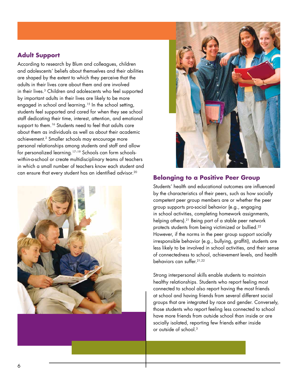# **Adult Support**

According to research by Blum and colleagues, children and adolescents' beliefs about themselves and their abilities are shaped by the extent to which they perceive that the adults in their lives care about them and are involved in their lives.3 Children and adolescents who feel supported by important adults in their lives are likely to be more engaged in school and learning.<sup>15</sup> In the school setting, students feel supported and cared for when they see school staff dedicating their time, interest, attention, and emotional support to them.<sup>16</sup> Students need to feel that adults care about them as individuals as well as about their academic achievement.2 Smaller schools may encourage more personal relationships among students and staff and allow for personalized learning.17–19 Schools can form schoolswithin-a-school or create multidisciplinary teams of teachers in which a small number of teachers know each student and can ensure that every student has an identified advisor.20





#### **Belonging to a Positive Peer Group**

Students' health and educational outcomes are influenced by the characteristics of their peers, such as how socially competent peer group members are or whether the peer group supports pro-social behavior (e.g., engaging in school activities, completing homework assignments, helping others).21 Being part of a stable peer network protects students from being victimized or bullied.<sup>22</sup> However, if the norms in the peer group support socially irresponsible behavior (e.g., bullying, graffiti), students are less likely to be involved in school activities, and their sense of connectedness to school, achievement levels, and health behaviors can suffer.21,22

Strong interpersonal skills enable students to maintain healthy relationships. Students who report feeling most connected to school also report having the most friends at school and having friends from several different social groups that are integrated by race and gender. Conversely, those students who report feeling less connected to school have more friends from outside school than inside or are socially isolated, reporting few friends either inside or outside of school.3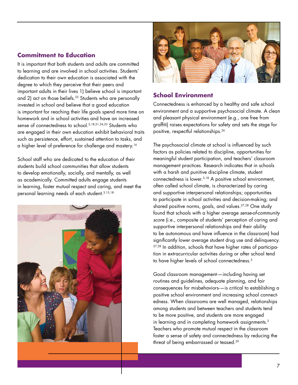## **Commitment to Education**

It is important that both students and adults are committed to learning and are involved in school activities. Students' dedication to their own education is associated with the degree to which they perceive that their peers and important adults in their lives 1) believe school is important and 2) act on those beliefs.<sup>23</sup> Students who are personally invested in school and believe that a good education is important for reaching their life goals spend more time on homework and in school activities and have an increased sense of connectedness to school.3,18,21,24,25 Students who are engaged in their own education exhibit behavioral traits such as persistence, effort, sustained attention to tasks, and a higher level of preference for challenge and mastery.16

School staff who are dedicated to the education of their students build school communities that allow students to develop emotionally, socially, and mentally, as well as academically. Committed adults engage students in learning, foster mutual respect and caring, and meet the personal learning needs of each student.3,15,18





# **School Environment**

Connectedness is enhanced by a healthy and safe school environment and a supportive psychosocial climate. A clean and pleasant physical environment (e.g., one free from graffiti) raises expectations for safety and sets the stage for positive, respectful relationships.26

The psychosocial climate at school is influenced by such factors as policies related to discipline, opportunities for meaningful student participation, and teachers' classroom management practices. Research indicates that in schools with a harsh and punitive discipline climate, student connectedness is lower.3,18 A positive school environment, often called school climate, is characterized by caring and supportive interpersonal relationships; opportunities to participate in school activities and decision-making; and shared positive norms, goals, and values.<sup>27,28</sup> One study found that schools with a higher average *sense-of-community score* (i.e., composite of students' perception of caring and supportive interpersonal relationships and their ability to be autonomous and have influence in the classroom) had significantly lower average student drug use and delinquency. <sup>27,28</sup> In addition, schools that have higher rates of participation in extracurricular activities during or after school tend to have higher levels of school connectedness.3

Good classroom management-—including having set routines and guidelines, adequate planning, and fair consequences for misbehaviors-—is critical to establishing a positive school environment and increasing school connectedness. When classrooms are well managed, relationships among students and between teachers and students tend to be more positive, and students are more engaged in learning and in completing homework assignments.<sup>3</sup> Teachers who promote mutual respect in the classroom foster a sense of safety and connectedness by reducing the threat of being embarrassed or teased.29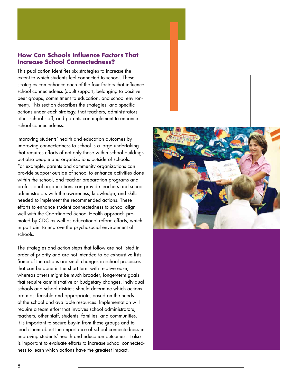### **How Can Schools Influence Factors That Increase School Connectedness?**

This publication identifies six strategies to increase the extent to which students feel connected to school. These strategies can enhance each of the four factors that influence school connectedness (adult support, belonging to positive peer groups, commitment to education, and school environment). This section describes the strategies, and specific actions under each strategy, that teachers, administrators, other school staff, and parents can implement to enhance school connectedness.

Improving students' health and education outcomes by improving connectedness to school is a large undertaking that requires efforts of not only those within school buildings but also people and organizations outside of schools. For example, parents and community organizations can provide support outside of school to enhance activities done within the school, and teacher preparation programs and professional organizations can provide teachers and school administrators with the awareness, knowledge, and skills needed to implement the recommended actions. These efforts to enhance student connectedness to school align well with the Coordinated School Health approach promoted by CDC as well as educational reform efforts, which in part aim to improve the psychosocial environment of schools.

The strategies and action steps that follow are not listed in order of priority and are not intended to be exhaustive lists. Some of the actions are small changes in school processes that can be done in the short term with relative ease, whereas others might be much broader, longer-term goals that require administrative or budgetary changes. Individual schools and school districts should determine which actions are most feasible and appropriate, based on the needs of the school and available resources. Implementation will require a team effort that involves school administrators, teachers, other staff, students, families, and communities. It is important to secure buy-in from these groups and to teach them about the importance of school connectedness in improving students' health and education outcomes. It also is important to evaluate efforts to increase school connectedness to learn which actions have the greatest impact.

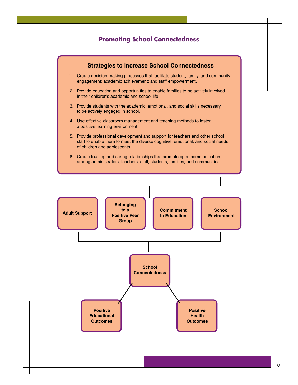#### **Promoting School Connectedness**

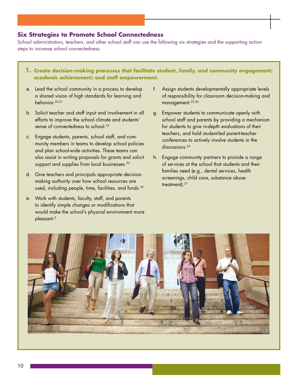#### **Six Strategies to Promote School Connectedness**

School administrators, teachers, and other school staff can use the following six strategies and the supporting action steps to increase school connectedness:

- **1. Create decision-making processes that facilitate student, family, and community engagement; academic achievement; and staff empowerment.**
- a. Lead the school community in a process to develop a shared vision of high standards for learning and behavior.30,31
- b. Solicit teacher and staff input and involvement in all efforts to improve the school climate and students' sense of connectedness to school.<sup>32</sup>
- c. Engage students, parents, school staff, and community members in teams to develop school policies and plan school-wide activities. These teams can also assist in writing proposals for grants and solicit support and supplies from local businesses.<sup>33</sup>
- d. Give teachers and principals appropriate decisionmaking authority over how school resources are used, including people, time, facilities, and funds.<sup>34</sup>
- e. Work with students, faculty, staff, and parents to identify simple changes or modifications that would make the school's physical environment more pleasant.3
- f. Assign students developmentally appropriate levels of responsibility for classroom decision-making and management.35,36
- g. Empower students to communicate openly with school staff and parents by providing a mechanism for students to give in-depth evaluations of their teachers, and hold student-led parent-teacher conferences to actively involve students in the discussions.<sup>34</sup>
- h. Engage community partners to provide a range of services at the school that students and their families need (e.g., dental services, health screenings, child care, substance abuse treatment).37

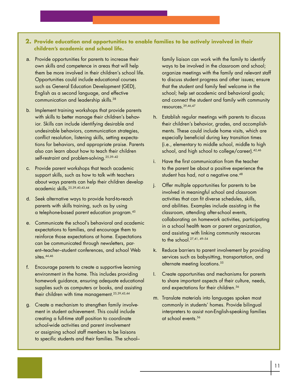#### **2. Provide education and opportunities to enable families to be actively involved in their children's academic and school life.**

- a. Provide opportunities for parents to increase their own skills and competence in areas that will help them be more involved in their children's school life. Opportunities could include educational courses such as General Education Development (GED), English as a second language, and effective communication and leadership skills.<sup>38</sup>
- b. Implement training workshops that provide parents with skills to better manage their children's behavior. Skills can include identifying desirable and undesirable behaviors, communication strategies, conflict resolution, listening skills, setting expectations for behaviors, and appropriate praise. Parents also can learn about how to teach their children self-restraint and problem-solving.25,39–42
- c. Provide parent workshops that teach academic support skills, such as how to talk with teachers about ways parents can help their children develop academic skills.25,39,40,43,44
- d. Seek alternative ways to provide hard-to-reach parents with skills training, such as by using a telephone-based parent education program.45
- e. Communicate the school's behavioral and academic expectations to families, and encourage them to reinforce those expectations at home. Expectations can be communicated through newsletters, parent–teacher–student conferences, and school Web sites.<sup>44,46</sup>
- f. Encourage parents to create a supportive learning environment in the home. This includes providing homework guidance, ensuring adequate educational supplies such as computers or books, and assisting their children with time management.25,39,43,44
- g. Create a mechanism to strengthen family involvement in student achievement. This could include creating a full-time staff position to coordinate school-wide activities and parent involvement or assigning school staff members to be liaisons to specific students and their families. The school–

family liaison can work with the family to identify ways to be involved in the classroom and school; organize meetings with the family and relevant staff to discuss student progress and other issues; ensure that the student and family feel welcome in the school; help set academic and behavioral goals; and connect the student and family with community resources.39,46,47

- h. Establish regular meetings with parents to discuss their children's behavior, grades, and accomplishments. These could include home visits, which are especially beneficial during key transition times (i.e., elementary to middle school, middle to high school, and high school to college/career).42,46
- i. Have the first communication from the teacher to the parent be about a positive experience the student has had, not a negative one.<sup>48</sup>
- j. Offer multiple opportunities for parents to be involved in meaningful school and classroom activities that can fit diverse schedules, skills, and abilities. Examples include assisting in the classroom, attending after-school events, collaborating on homework activities, participating in a school health team or parent organization, and assisting with linking community resources to the school.27,41, 49–54
- k. Reduce barriers to parent involvement by providing services such as babysitting, transportation, and alternate meeting locations.<sup>55</sup>
- I. Create opportunities and mechanisms for parents to share important aspects of their culture, needs, and expectations for their children.<sup>56</sup>
- m. Translate materials into languages spoken most commonly in students' homes. Provide bilingual interpreters to assist non-English-speaking families at school events.<sup>56</sup>

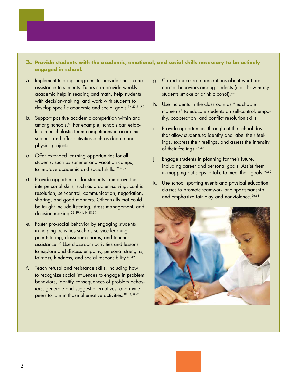#### **3. Provide students with the academic, emotional, and social skills necessary to be actively engaged in school.**

- a. Implement tutoring programs to provide one-on-one assistance to students. Tutors can provide weekly academic help in reading and math, help students with decision-making, and work with students to develop specific academic and social goals.<sup>16,42,51,52</sup>
- b. Support positive academic competition within and among schools.57 For example, schools can establish interscholastic team competitions in academic subjects and offer activities such as debate and physics projects.
- c. Offer extended learning opportunities for all students, such as summer and vacation camps, to improve academic and social skills.39,43,51
- d. Provide opportunities for students to improve their interpersonal skills, such as problem-solving, conflict resolution, self-control, communication, negotiation, sharing, and good manners. Other skills that could be taught include listening, stress management, and decision making.<sup>25,39,41,44,58,59</sup>
- e. Foster pro-social behavior by engaging students in helping activities such as service learning, peer tutoring, classroom chores, and teacher assistance.60 Use classroom activities and lessons to explore and discuss empathy, personal strengths, fairness, kindness, and social responsibility.40,49
- f. Teach refusal and resistance skills, including how to recognize social influences to engage in problem behaviors, identify consequences of problem behaviors, generate and suggest alternatives, and invite peers to join in those alternative activities.39,43,59,61
- g. Correct inaccurate perceptions about what are normal behaviors among students (e.g., how many students smoke or drink alcohol).<sup>44</sup>
- h. Use incidents in the classroom as "teachable moments" to educate students on self-control, empathy, cooperation, and conflict resolution skills.<sup>35</sup>
- Provide opportunities throughout the school day that allow students to identify and label their feelings, express their feelings, and assess the intensity of their feelings.36,49
- j. Engage students in planning for their future, including career and personal goals. Assist them in mapping out steps to take to meet their goals.<sup>40,62</sup>
- k. Use school sporting events and physical education classes to promote teamwork and sportsmanship and emphasize fair play and nonviolence.<sup>26,63</sup>

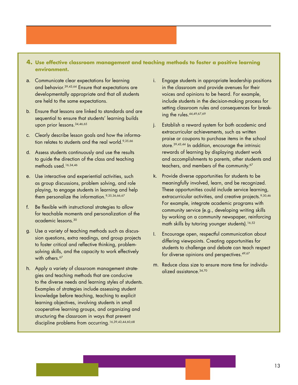#### **4. Use effective classroom management and teaching methods to foster a positive learning environment.**

- a. Communicate clear expectations for learning and behavior.39,43,64 Ensure that expectations are developmentally appropriate and that all students are held to the same expectations.
- b. Ensure that lessons are linked to standards and are sequential to ensure that students' learning builds upon prior lessons.34,46,65
- c. Clearly describe lesson goals and how the information relates to students and the real world.<sup>9,35,66</sup>
- d. Assess students continuously and use the results to guide the direction of the class and teaching methods used.16,34,46
- e. Use interactive and experiential activities, such as group discussions, problem solving, and role playing, to engage students in learning and help them personalize the information.<sup>9,35,36,66,67</sup>
- f. Be flexible with instructional strategies to allow for teachable moments and personalization of the academic lessons.30
- g. Use a variety of teaching methods such as discussion questions, extra readings, and group projects to foster critical and reflective thinking, problemsolving skills, and the capacity to work effectively with others.<sup>67</sup>
- h. Apply a variety of classroom management strategies and teaching methods that are conducive to the diverse needs and learning styles of students. Examples of strategies include assessing student knowledge before teaching, teaching to explicit learning objectives, involving students in small cooperative learning groups, and organizing and structuring the classroom in ways that prevent discipline problems from occurring.16,39,43,44,60,68
- i. Engage students in appropriate leadership positions in the classroom and provide avenues for their voices and opinions to be heard. For example, include students in the decision-making process for setting classroom rules and consequences for breaking the rules. 44,49,67,69
- j. Establish a reward system for both academic and extracurricular achievements, such as written praise or coupons to purchase items in the school store.39,43,44 In addition, encourage the intrinsic rewards of learning by displaying student work and accomplishments to parents, other students and teachers, and members of the community.<sup>67</sup>
- k. Provide diverse opportunities for students to be meaningfully involved, learn, and be recognized. These opportunities could include service learning, extracurricular activities, and creative projects.<sup>9,30,46</sup> For example, integrate academic programs with community service (e.g., developing writing skills by working on a community newspaper, reinforcing math skills by tutoring younger students).<sup>16,52</sup>
- I. Encourage open, respectful communication about differing viewpoints. Creating opportunities for students to challenge and debate can teach respect for diverse opinions and perspectives.<sup>49,67</sup>
- m. Reduce class size to ensure more time for individualized assistance.34,70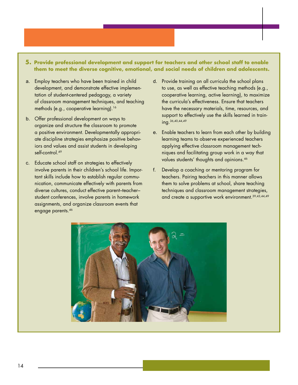#### **5. Provide professional development and support for teachers and other school staff to enable them to meet the diverse cognitive, emotional, and social needs of children and adolescents.**

- a. Employ teachers who have been trained in child development, and demonstrate effective implementation of student-centered pedagogy, a variety of classroom management techniques, and teaching methods (e.g., cooperative learning).<sup>16</sup>
- b. Offer professional development on ways to organize and structure the classroom to promote a positive environment. Developmentally appropriate discipline strategies emphasize positive behaviors and values and assist students in developing self-control.<sup>49</sup>
- c. Educate school staff on strategies to effectively involve parents in their children's school life. Important skills include how to establish regular communication, communicate effectively with parents from diverse cultures, conduct effective parent–teacher– student conferences, involve parents in homework assignments, and organize classroom events that engage parents.<sup>46</sup>
- d. Provide training on all curricula the school plans to use, as well as effective teaching methods (e.g., cooperative learning, active learning), to maximize the curricula's effectiveness. Ensure that teachers have the necessary materials, time, resources, and support to effectively use the skills learned in training.36,40,44,49
- e. Enable teachers to learn from each other by building learning teams to observe experienced teachers applying effective classroom management techniques and facilitating group work in a way that values students' thoughts and opinions.46
- f. Develop a coaching or mentoring program for teachers. Pairing teachers in this manner allows them to solve problems at school, share teaching techniques and classroom management strategies, and create a supportive work environment.39,43,44,49

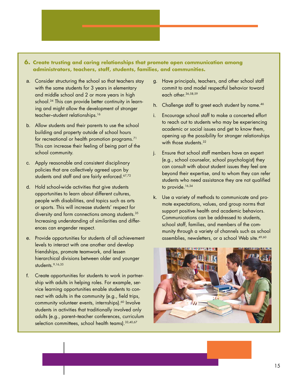#### **6. Create trusting and caring relationships that promote open communication among administrators, teachers, staff, students, families, and communities.**

- a. Consider structuring the school so that teachers stay with the same students for 3 years in elementary and middle school and 2 or more years in high school.<sup>34</sup> This can provide better continuity in learning and might allow the development of stronger teacher–student relationships.16
- b. Allow students and their parents to use the school building and property outside of school hours for recreational or health promotion programs.<sup>71</sup> This can increase their feeling of being part of the school community.
- c. Apply reasonable and consistent disciplinary policies that are collectively agreed upon by students and staff and are fairly enforced.<sup>67,72</sup>
- d. Hold school-wide activities that give students opportunities to learn about different cultures, people with disabilities, and topics such as arts or sports. This will increase students' respect for diversity and form connections among students.35 Increasing understanding of similarities and differences can engender respect.
- e. Provide opportunities for students of all achievement levels to interact with one another and develop friendships, promote teamwork, and lessen hierarchical divisions between older and younger students.<sup>9,16,35</sup>
- f. Create opportunities for students to work in partnership with adults in helping roles. For example, service learning opportunities enable students to connect with adults in the community (e.g., field trips, community volunteer events, internships).<sup>60</sup> Involve students in activities that traditionally involved only adults (e.g., parent–teacher conferences, curriculum selection committees, school health teams). 33,40,67
- g. Have principals, teachers, and other school staff commit to and model respectful behavior toward each other.36,58,59
- h. Challenge staff to greet each student by name.<sup>46</sup>
- i. Encourage school staff to make a concerted effort to reach out to students who may be experiencing academic or social issues and get to know them, opening up the possibility for stronger relationships with those students.<sup>32</sup>
- j. Ensure that school staff members have an expert (e.g., school counselor, school psychologist) they can consult with about student issues they feel are beyond their expertise, and to whom they can refer students who need assistance they are not qualified to provide.<sup>16,34</sup>
- k. Use a variety of methods to communicate and promote expectations, values, and group norms that support positive health and academic behaviors. Communications can be addressed to students, school staff, families, and members of the community through a variety of channels such as school assemblies, newsletters, or a school Web site.<sup>49,60</sup>

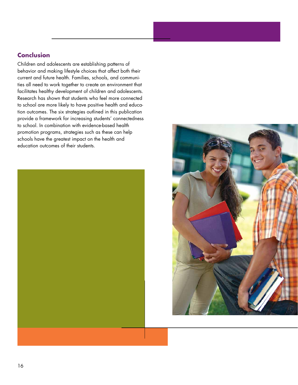# **Conclusion**

Children and adolescents are establishing patterns of behavior and making lifestyle choices that affect both their current and future health. Families, schools, and communities all need to work together to create an environment that facilitates healthy development of children and adolescents. Research has shown that students who feel more connected to school are more likely to have positive health and education outcomes. The six strategies outlined in this publication provide a framework for increasing students' connectedness to school. In combination with evidence-based health promotion programs, strategies such as these can help schools have the greatest impact on the health and education outcomes of their students.



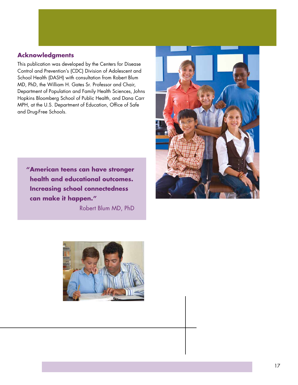#### **Acknowledgments**

This publication was developed by the Centers for Disease Control and Prevention's (CDC) Division of Adolescent and School Health (DASH) with consultation from Robert Blum MD, PhD, the William H. Gates Sr. Professor and Chair, Department of Population and Family Health Sciences, Johns Hopkins Bloomberg School of Public Health, and Dana Carr MPH, at the U.S. Department of Education, Office of Safe and Drug-Free Schools.



**"American teens can have stronger health and educational outcomes. Increasing school connectedness can make it happen."** 

Robert Blum MD, PhD

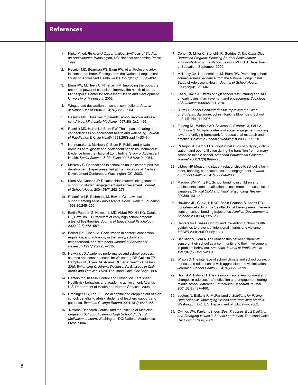#### **References**

- 1. Kipke M, ed. *Risks and Opportunities: Synthesis of Studies on Adolescence*. Washington, DC: National Academies Press; 1999.
- $\mathcal{P}$ Resnick MD, Bearman PS, Blum RW, et al. Protecting adolescents from harm. Findings from the National Longitudinal Study on Adolescent Health. *JAMA* 1997;278(10):823–832.
- 3. Blum RW, McNeely C, Rinehart PM. Improving the odds: the untapped power of schools to improve the health of teens. Minneapolis: Center for Adolescent Health and Development, University of Minnesota; 2002.
- 4. Wingspread declaration on school connections. *Journal of School Health* 2004 2004;74(7):233–234.
- Resnick MD. Close ties to parents, school improve adolescents' lives. *Minnesota Medicine* 1997;80(12):24–26.
- 6. Resnick MD, Harris LJ, Blum RW. The impact of caring and connectedness on adolescent health and well-being. *Journal of Paediatrics & Child Health* 1993;29(Suppl 1):S3–9.
- $7<sup>1</sup>$ 7. Nonnemaker J, McNeely C, Blum R. Public and private domains of religiosity and adolescent health risk behaviors: Evidence from the National Longitudinal Study of Adolescent Health. *Social Science & Medicine* 2003;57:2049–2054.
- 8. McNeely C. Connections to school as an indicator of positive development. Paper presented at the Indicators of Positive Development Conference, Washington, DC; 2003.
- 9. Klem AM, Connell JP. Relationships matter: linking teacher support to student engagement and achievement. *Journal of School Health* 2004;74(7):262–273.
- 10. Rosenfeld LB, Richman JM, Bowen GL. Low social support among at-risk adolescents. *Social Work in Education*  1998;20:245–260.
- 11. Battin-Pearson S, Newcomb MD, Abbot RD, Hill KG, Catalano RF, Hawkins JD. Predictors of early high school dropout: a test of five theories. *Journal of Educational Psychology*  2000;92(3):568–582.
- 12. Barber BK, Olsen JA. Socialization in context: connection, regulation, and autonomy in the family, school and neighborhood, and with peers. *Journal of Adolescent Research* 1997;12(2):287–315.
- 13. Hawkins JD. Academic performance and school success: sources and consequences. In: Weissberg RP, Gullotta TP, Hampton RL, Ryan BA, Adams GR, eds. *Healthy Children*  2010: Enhancing Children's Wellness. Vol 8. Issues in Chil*dren's and Families' Lives*. Thousand Oaks, CA: Sage; 1997.
- 14. Centers for Disease Control and Prevention. Fact sheet: Health risk behaviors and academic achievement; Atlanta: U.S. Department of Health and Human Services; 2008.
- 15. Croninger RG, Lee VE. Social capital and dropping out of high school: benefits to at-risk students of teachers' support and guidance. *Teachers College Record* 2001;103(4):548–581.
- 16. National Research Council and the Institute of Medicine. *Engaging Schools: Fostering High School Students' Motivation to Learn*. Washington, DC: National Academies Press; 2004.
- 17. Cohen G, Miller C, Stonehill R, Geddes C. *The Class-Size Reduction Program: Boosting Student Achievement in Schools Across the Nation*. Jessup, MD: U.S. Department of Education; September 2000.
- 18. McNeely CA, Nonnemaker JM, Blum RW. Promoting school connectedness: evidence from the National Longitudinal Study of Adolescent Health. *Journal of School Health*  2002;72(4):136–146.
- 19. Lee V, Smith J. Effects of high school restructuring and size on early gains in achievement and engagement. *Sociology of Education* 1995;68:241–270.
- 20. Blum R. *School Connectedness: Improving the Lives of Students*. Baltimore: Johns Hopkins Bloomberg School of Public Health; 2005.
- 21. Furlong MJ, Whipple AD, St. Jean G, Simental J, Soliz A, Punthuna S. Multiple contexts of social engagement: moving toward a unifying framework for educational research and practice. *California School Psychologist* 2003;8:99–113.
- 22. Pellegrini A, Bartini M. A longitudinal study of bullying, victimization, and peer affiliation during the transition from primary school to middle school. *American Educational Research Journal* 2000;37(3):699–725.
- 23. Libbey HP. Measuring student relationships to school: attachment, bonding, connectedness, and engagement. *Journal of School Health* 2004;74(7):274–283.
- 24. Maddox SM, Prinz RJ. School bonding in children and adolescents: conceptualization, assessment, and associated variables. *Clinical Child and Family Psychology Review*  2003;6(1):31–49.
- 25. Hawkins JD, Guo J, Hill KG, Battin-Pearson S, Abbott RD. Long-term effects of the Seattle Social Development interventions on school bonding trajectories. *Applied Developmental Science* 2001;5(4):225–236.
- 26. Centers for Disease Control and Prevention. School health guidelines to prevent unintentional injuries and violence. *MMWR* 2001;50(RR-22):1–73.
- 27. Battistich V, Hom A. The relationship between students' sense of their school as a community and their involvement in problem behaviors. *American Journal of Public Health*  1997;87(12):1997–2001.
- 28. Wilson D. The interface of school climate and school connectedness and relationships with aggression and victimization. *Journal of School Health* 2004;74(7):293–299.
- 29. Ryan AM, Patrick H. The classroom social environment and changes in adolescents' motivation and engagement during middle school. *American Educational Research Journal*  2001;38(2):437–460.
- 30. Legters N, Balfanz R, McPartland J. *Solutions for Failing High Schools: Converging Visions and Promising Models*. Washington, DC: U.S. Department of Education; 2002.
- 31. Owings WA, Kaplan LS, eds. *Best Practices, Best Thinking, and Emerging Issues in School Leadership*. Thousand Oaks, CA: Corwin Press; 2003.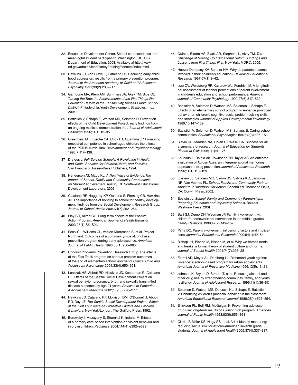- 32. Education Development Center. School connectedness and meaningful student participation. Washington, DC: U.S. Department of Education; 2008: Available at http://www. ed.gov/admins/lead/safety/training/connect/index.html.
- 33. Hawkins JD, Von Cleve E, Catalano RF. Reducing early childhood aggression: results from a primary prevention program. *Journal of the American Academy of Child and Adolescent Psychiatry* 1991;30(2):208–217.
- 34. Gambone MA, Klem AM, Summers JA, Akey TM, Sipe CL. *Turning the Tide: the Achievements of the First Things First Education Reform in the Kansas City, Kansas Public School District*. Philadelphia: Youth Development Strategies, Inc.; 2004.
- 35. Battistich V, Schaps E, Watson MS, Solomon D. Prevention effects of the Child Development Project: early findings from an ongoing multisite demonstration trial. *Journal of Adolescent Research* 1996;11(1):12–35.
- 36. Greenberg MT, Kusche CA, Cook ET, Quamma JP. Promoting emotional competence in school-aged children: the effects of the PATHS curriculum. *Development and Psychopathology*  1995;7:117–136.
- 37. Dryfoos J. *Full-Service Schools: A Revolution in Health and Social Services for Children,Youth, and Families*. San Francisco: Jossey-Bass Publishers; 1994.
- 38. Henderson AT, Mapp KL. *A New Wave of Evidence.The Impact of School, Family, and Community Connections on Student Achievement*. Austin, TX: Southwest Educational Development Laboratory; 2002.
- 39. Catalano RF, Haggerty KP, Oesterle S, Fleming CB, Hawkins JD. The importance of bonding to school for healthy development: findings from the Social Development Research Group. *Journal of School Health* 2004;74(7):252–261.
- 40. Flay BR, Allred CG. Long-term effects of the Positive Action Program. *American Journal of Health Behavior*  2003;27(1):S6–S21.
- 41. Perry CL, Williams CL, Veblen-Mortenson S, et al. Project Northland: Outcomes of a communitywide alcohol use prevention program during early adolescence. *American Journal of Public Health* 1996;86(1):956–965.
- 42. Conduct Problems Prevention Research Group. The effects of the Fast Track program on serious problem outcomes at the end of elementary school. *Journal of Clinical Child and Adolescent Psychology* 2004;33(4):650–661.
- 43. Lonczak HS, Abbott RD, Hawkins JD, Kosterman R, Catalano RF. Effects of the Seattle Social Development Project on sexual behavior, pregnancy, birth, and sexually transmitted disease outcomes by age 21 years. *Archives of Pediatrics & Adolescent Medicine* 2002;159(3):270–277.
- 44. Hawkins JD, Catalano RF, Morrison DM, O'Donnell J, Abbott RD, Day LE. *The Seattle Social Development Project: Effects of the First Four Years on Protective Factors and Problem Behaviors*. New York/London: The Guilford Press; 1992.
- 45. Borowsky I, Mozayeny S, Stuenkel K, Ireland M. Effects of a primary care-based intervention on violent behavior and injury in children. *Pediatrics* 2004;114(4):e392–e399.
- 46. Quint J, Bloom HS, Black AR, Stephens L, Akey TM. *The Challenge of Scaling Up Educational Reform. Findings and Lessons from First Things First*. New York: MDRC; 2005.
- 47. Hoover-Dempsey KV, Sandler HM. Why do parents become involved in their children's education? *Review of Educational Research* 1997;67(1):3–42.
- 48. Izzo CV, Weissberg RP, Kasprow WJ, Fendrich M. A longitudinal assessment of teacher perceptions of parent involvement in children's education and school performance. *American Journal of Community Psychology* 1999;27(6):817–839.
- 49. Battistich V, Solomon D, Watson MS, Solomon J, Schaps E. Effects of an elementary school program to enhance prosocial behavior on children's cognitive-social problem-solving skills and strategies. *Journal of Applied Developmental Psychology*  1989;10:147–169.
- 50. Battistich V, Solomon D, Watson MS, Schaps E. Caring school communities. *Educational Psychologist* 1997;32(3):137–151.
- 51. Slavin RE, Madden NA, Dolan LJ, Wasik BA. Success for all: a summary of research. *Journal of Education for Students Placed at Risk* 1996;1(1):41–76.
- 52. LoSciuto L, Rajala AK, Townsend TN, Taylor AS. An outcome evaluation of Across Ages: an intergenerational mentoring approach to drug prevention. *Journal of Adolescent Research*  1996;11(1):116–129.
- 53. Epstein JL, Sanders MG, Simon BS, Salinas KC, Jansorm NR, Van Voorhis FL. *School, Family, and Community Partnerships: Your Handbook for Action*. Second ed. Thousand Oaks, CA: Corwin Press; 2002.
- 54. Epstein JL. *School, Family, and Community Partnerships: Preparing Educators and Improving Schools*. Boulder: Westview Press; 2001.
- 55. Balli SJ, Demo DH, Wedman JF. Family involvement with children's homework: an intervention in the middle grades. *Family Relations* 1998;47(2):149–157.
- 56. Peña DC. Parent involvement: influencing factors and implications. *Journal of Educational Research* 2000;94(1):42–54.
- 57. Bishop JH, Bishop M, Bishop M, et al. Why we harass nerds and freaks: a formal theory of student culture and norms. *Journal of School Health* 2004;74(7):235–251.
- 58. Farrell AD, Meyer AL, Dahlberg LL. Richmond youth against violence: a school-based program for urban adolescents. *American Journal of Preventive Medicine* 1996;12(5):13–21.
- 59. Johnson K, Bryant D, Strader T, et al. Reducing alcohol and other drug use by strengthening community, family, and youth resiliency. *Journal of Adolescent Research* 1996;11(1):36–67.
- 60. Solomon D, Watson MS, Delucchi KL, Schaps E, Battistich V. Enhancing children's prosocial behavior in the classroom. *American Educational Research Journal* 1988;25(4):527–554.
- 61. Ellickson PL, Bell RM, McGuigan K. Preventing adolescent drug use: long-term results of a junior high program. *American Journal of Public Health* 1993;83(6):856–861.
- 62. Clark LF, Miller KS, Nagy SS, et al. Adult identity mentoring: reducing sexual risk for African-American seventh grade students. *Journal of Adolescent Health* 2005;37(4):337–337.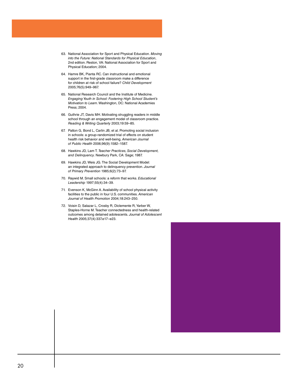- 63. National Association for Sport and Physical Education. *Moving into the Future: National Standards for Physical Education*, 2nd edition. Reston, VA: National Association for Sport and Physical Education; 2004.
- 64. Hamre BK, Pianta RC. Can instructional and emotional support in the first-grade classroom make a difference for children at risk of school failure? *Child Development*  2005;76(5):949–967.
- 65. National Research Council and the Institute of Medicine. *Engaging Youth in School: Fostering High School Student's Motivation to Learn*. Washington, DC: National Academies Press; 2004.
- 66. Guthrie JT, Davis MH. Motivating struggling readers in middle school through an engagement model of classroom practice. *Reading & Writing Quarterly* 2003;19:59–85.
- 67. Patton G, Bond L, Carlin JB, et al. Promoting social inclusion in schools: a group-randomized trial of effects on student health risk behavior and well-being. *American Journal of Public Health* 2006;96(9):1582–1587.
- 68. Hawkins JD, Lam T. *Teacher Practices, Social Development, and Delinquency*. Newbury Park, CA: Sage; 1987.
- 69. Hawkins JD, Weis JG. The Social Development Model: an integrated approach to delinquency prevention. *Journal of Primary Prevention* 1985;6(2):73–97.
- 70. Raywid M. Small schools: a reform that works. *Educational Leadership* 1997;55(4):34–39.
- 71. Evenson K, McGinn A. Availability of school physical activity facilities to the public in four U.S. communities. *American Journal of Health Promotion* 2004;18:243–250.
- 72. Voisin D, Salazar L, Crosby R, Diclemente R, Yarber W, Staples-Horne M. Teacher connectedness and health-related outcomes among detained adolescents. *Journal of Adolescent Health* 2005;37(4):337.e17–e23.